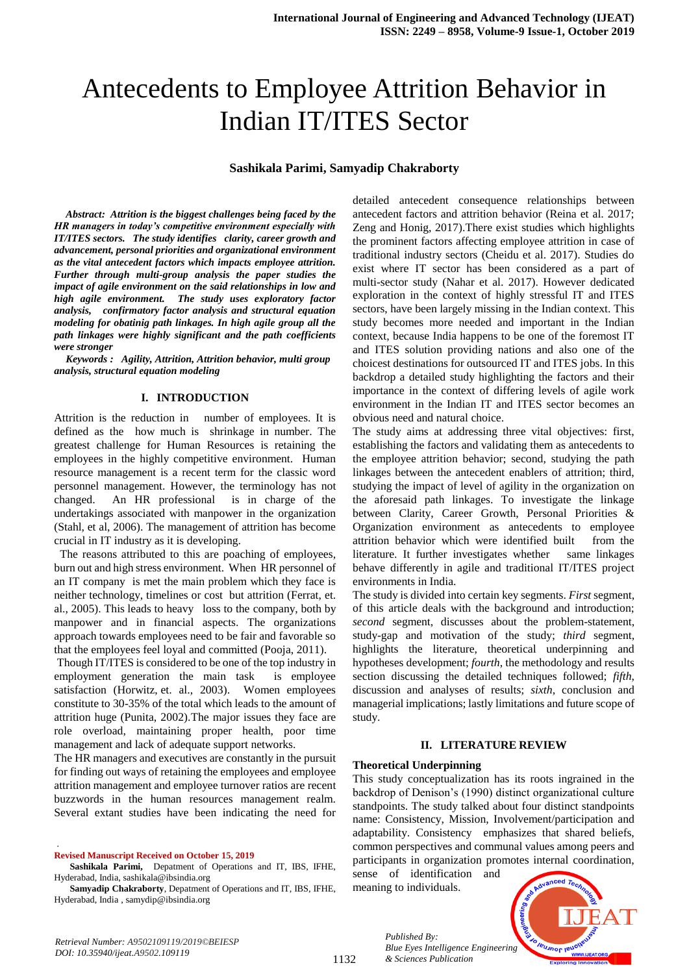# Antecedents to Employee Attrition Behavior in Indian IT/ITES Sector

## **Sashikala Parimi, Samyadip Chakraborty**

*Abstract: Attrition is the biggest challenges being faced by the HR managers in today's competitive environment especially with IT/ITES sectors. The study identifies clarity, career growth and advancement, personal priorities and organizational environment as the vital antecedent factors which impacts employee attrition. Further through multi-group analysis the paper studies the impact of agile environment on the said relationships in low and high agile environment. The study uses exploratory factor analysis, confirmatory factor analysis and structural equation modeling for obatinig path linkages. In high agile group all the path linkages were highly significant and the path coefficients were stronger*

*Keywords : Agility, Attrition, Attrition behavior, multi group analysis, structural equation modeling*

#### **I. INTRODUCTION**

Attrition is the reduction in number of employees. It is defined as the how much is shrinkage in number. The greatest challenge for Human Resources is retaining the employees in the highly competitive environment. Human resource management is a recent term for the classic word personnel management. However, the terminology has not changed. An HR professional is in charge of the undertakings associated with manpower in the organization (Stahl, et al, 2006). The management of attrition has become crucial in IT industry as it is developing.

 The reasons attributed to this are poaching of employees, burn out and high stress environment. When HR personnel of an IT company is met the main problem which they face is neither technology, timelines or cost but attrition (Ferrat, et. al., 2005). This leads to heavy loss to the company, both by manpower and in financial aspects. The organizations approach towards employees need to be fair and favorable so that the employees feel loyal and committed (Pooja, 2011).

Though IT/ITES is considered to be one of the top industry in employment generation the main task is employee satisfaction (Horwitz, et. al., 2003). Women employees constitute to 30-35% of the total which leads to the amount of attrition huge (Punita, 2002).The major issues they face are role overload, maintaining proper health, poor time management and lack of adequate support networks.

The HR managers and executives are constantly in the pursuit for finding out ways of retaining the employees and employee attrition management and employee turnover ratios are recent buzzwords in the human resources management realm. Several extant studies have been indicating the need for

**Revised Manuscript Received on October 15, 2019**

.

**Samyadip Chakraborty**, Depatment of Operations and IT, IBS, IFHE, Hyderabad, India , samydip@ibsindia.org

detailed antecedent consequence relationships between antecedent factors and attrition behavior (Reina et al. 2017; Zeng and Honig, 2017).There exist studies which highlights the prominent factors affecting employee attrition in case of traditional industry sectors (Cheidu et al. 2017). Studies do exist where IT sector has been considered as a part of multi-sector study (Nahar et al. 2017). However dedicated exploration in the context of highly stressful IT and ITES sectors, have been largely missing in the Indian context. This study becomes more needed and important in the Indian context, because India happens to be one of the foremost IT and ITES solution providing nations and also one of the choicest destinations for outsourced IT and ITES jobs. In this backdrop a detailed study highlighting the factors and their importance in the context of differing levels of agile work environment in the Indian IT and ITES sector becomes an obvious need and natural choice.

The study aims at addressing three vital objectives: first, establishing the factors and validating them as antecedents to the employee attrition behavior; second, studying the path linkages between the antecedent enablers of attrition; third, studying the impact of level of agility in the organization on the aforesaid path linkages. To investigate the linkage between Clarity, Career Growth, Personal Priorities & Organization environment as antecedents to employee attrition behavior which were identified built from the literature. It further investigates whether same linkages behave differently in agile and traditional IT/ITES project environments in India.

The study is divided into certain key segments. *First* segment, of this article deals with the background and introduction; *second* segment, discusses about the problem-statement, study-gap and motivation of the study; *third* segment, highlights the literature, theoretical underpinning and hypotheses development; *fourth*, the methodology and results section discussing the detailed techniques followed; *fifth*, discussion and analyses of results; *sixth*, conclusion and managerial implications; lastly limitations and future scope of study.

## **II. LITERATURE REVIEW**

#### **Theoretical Underpinning**

This study conceptualization has its roots ingrained in the backdrop of Denison's (1990) distinct organizational culture standpoints. The study talked about four distinct standpoints name: Consistency, Mission, Involvement/participation and adaptability. Consistency emphasizes that shared beliefs, common perspectives and communal values among peers and participants in organization promotes internal coordination,

sense of identification and meaning to individuals.

*& Sciences Publication* 

*Published By:*



*Retrieval Number: A9502109119/2019©BEIESP DOI: 10.35940/ijeat.A9502.109119*

**Sashikala Parimi,** Depatment of Operations and IT, IBS, IFHE, Hyderabad, India, sashikala@ibsindia.org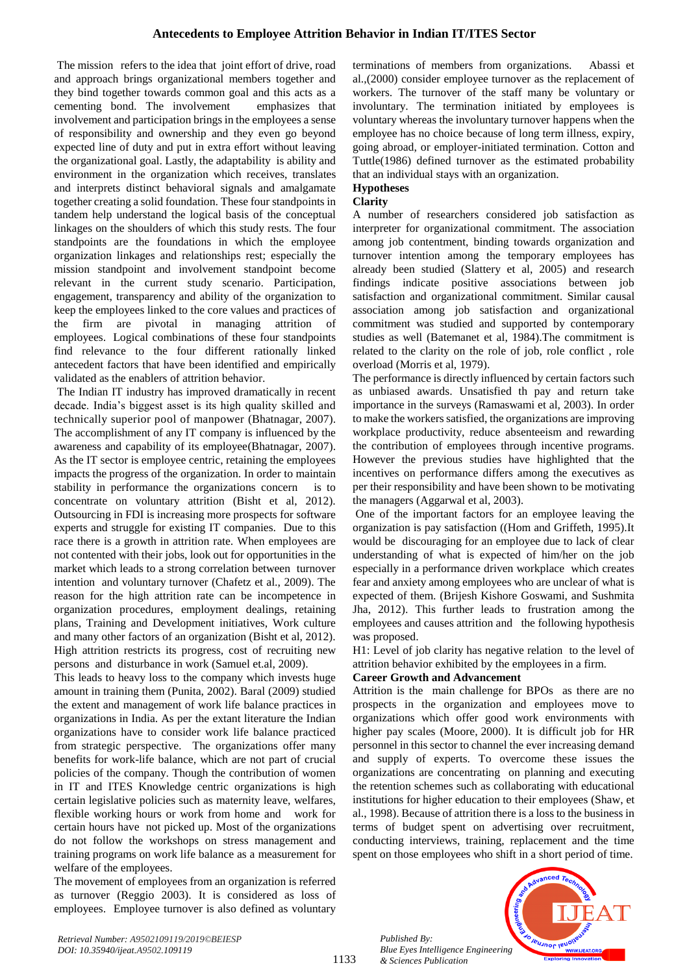The mission refers to the idea that joint effort of drive, road and approach brings organizational members together and they bind together towards common goal and this acts as a cementing bond. The involvement emphasizes that involvement and participation brings in the employees a sense of responsibility and ownership and they even go beyond expected line of duty and put in extra effort without leaving the organizational goal. Lastly, the adaptability is ability and environment in the organization which receives, translates and interprets distinct behavioral signals and amalgamate together creating a solid foundation. These four standpoints in tandem help understand the logical basis of the conceptual linkages on the shoulders of which this study rests. The four standpoints are the foundations in which the employee organization linkages and relationships rest; especially the mission standpoint and involvement standpoint become relevant in the current study scenario. Participation, engagement, transparency and ability of the organization to keep the employees linked to the core values and practices of the firm are pivotal in managing attrition of employees. Logical combinations of these four standpoints find relevance to the four different rationally linked antecedent factors that have been identified and empirically validated as the enablers of attrition behavior.

The Indian IT industry has improved dramatically in recent decade. India's biggest asset is its high quality skilled and technically superior pool of manpower (Bhatnagar, 2007). The accomplishment of any IT company is influenced by the awareness and capability of its employee(Bhatnagar, 2007). As the IT sector is employee centric, retaining the employees impacts the progress of the organization. In order to maintain stability in performance the organizations concern is to concentrate on voluntary attrition (Bisht et al, 2012). Outsourcing in FDI is increasing more prospects for software experts and struggle for existing IT companies. Due to this race there is a growth in attrition rate. When employees are not contented with their jobs, look out for opportunities in the market which leads to a strong correlation between turnover intention and voluntary turnover (Chafetz et al., 2009). The reason for the high attrition rate can be incompetence in organization procedures, employment dealings, retaining plans, Training and Development initiatives, Work culture and many other factors of an organization (Bisht et al, 2012). High attrition restricts its progress, cost of recruiting new persons and disturbance in work (Samuel et.al, 2009).

This leads to heavy loss to the company which invests huge amount in training them (Punita, 2002). Baral (2009) studied the extent and management of work life balance practices in organizations in India. As per the extant literature the Indian organizations have to consider work life balance practiced from strategic perspective. The organizations offer many benefits for work-life balance, which are not part of crucial policies of the company. Though the contribution of women in IT and ITES Knowledge centric organizations is high certain legislative policies such as maternity leave, welfares, flexible working hours or work from home and work for certain hours have not picked up. Most of the organizations do not follow the workshops on stress management and training programs on work life balance as a measurement for welfare of the employees.

The movement of employees from an organization is referred as turnover (Reggio 2003). It is considered as loss of employees. Employee turnover is also defined as voluntary

terminations of members from organizations. Abassi et al.,(2000) consider employee turnover as the replacement of workers. The turnover of the staff many be voluntary or involuntary. The termination initiated by employees is voluntary whereas the involuntary turnover happens when the employee has no choice because of long term illness, expiry, going abroad, or employer-initiated termination. Cotton and Tuttle(1986) defined turnover as the estimated probability that an individual stays with an organization.

# **Hypotheses**

## **Clarity**

A number of researchers considered job satisfaction as interpreter for organizational commitment. The association among job contentment, binding towards organization and turnover intention among the temporary employees has already been studied (Slattery et al, 2005) and research findings indicate positive associations between job satisfaction and organizational commitment. Similar causal association among job satisfaction and organizational commitment was studied and supported by contemporary studies as well (Batemanet et al, 1984).The commitment is related to the clarity on the role of job, role conflict , role overload (Morris et al, 1979).

The performance is directly influenced by certain factors such as unbiased awards. Unsatisfied th pay and return take importance in the surveys (Ramaswami et al, 2003). In order to make the workers satisfied, the organizations are improving workplace productivity, reduce absenteeism and rewarding the contribution of employees through incentive programs. However the previous studies have highlighted that the incentives on performance differs among the executives as per their responsibility and have been shown to be motivating the managers (Aggarwal et al, 2003).

One of the important factors for an employee leaving the organization is pay satisfaction ((Hom and Griffeth, 1995).It would be discouraging for an employee due to lack of clear understanding of what is expected of him/her on the job especially in a performance driven workplace which creates fear and anxiety among employees who are unclear of what is expected of them. (Brijesh Kishore Goswami, and Sushmita Jha, 2012). This further leads to frustration among the employees and causes attrition and the following hypothesis was proposed.

H1: Level of job clarity has negative relation to the level of attrition behavior exhibited by the employees in a firm.

## **Career Growth and Advancement**

Attrition is the main challenge for BPOs as there are no prospects in the organization and employees move to organizations which offer good work environments with higher pay scales (Moore, 2000). It is difficult job for HR personnel in this sector to channel the ever increasing demand and supply of experts. To overcome these issues the organizations are concentrating on planning and executing the retention schemes such as collaborating with educational institutions for higher education to their employees (Shaw, et al., 1998). Because of attrition there is a loss to the business in terms of budget spent on advertising over recruitment, conducting interviews, training, replacement and the time spent on those employees who shift in a short period of time.

*Published By: Blue Eyes Intelligence Engineering & Sciences Publication* 



1133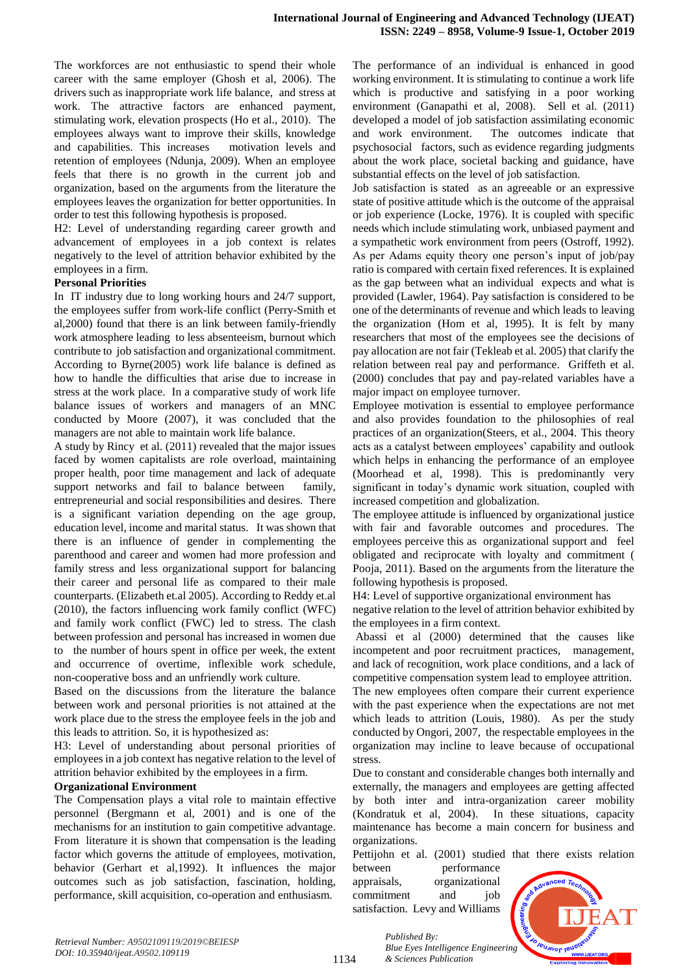The workforces are not enthusiastic to spend their whole career with the same employer (Ghosh et al, 2006). The drivers such as inappropriate work life balance, and stress at work. The attractive factors are enhanced payment, stimulating work, elevation prospects (Ho et al., 2010). The employees always want to improve their skills, knowledge and capabilities. This increases motivation levels and retention of employees (Ndunja, 2009). When an employee feels that there is no growth in the current job and organization, based on the arguments from the literature the employees leaves the organization for better opportunities. In order to test this following hypothesis is proposed.

H2: Level of understanding regarding career growth and advancement of employees in a job context is relates negatively to the level of attrition behavior exhibited by the employees in a firm.

## **Personal Priorities**

In IT industry due to long working hours and 24/7 support, the employees suffer from work-life conflict (Perry-Smith et al,2000) found that there is an link between family-friendly work atmosphere leading to less absenteeism, burnout which contribute to job satisfaction and organizational commitment. According to Byrne(2005) work life balance is defined as how to handle the difficulties that arise due to increase in stress at the work place. In a comparative study of work life balance issues of workers and managers of an MNC conducted by Moore (2007), it was concluded that the managers are not able to maintain work life balance.

A study by Rincy et al. (2011) revealed that the major issues faced by women capitalists are role overload, maintaining proper health, poor time management and lack of adequate support networks and fail to balance between family, entrepreneurial and social responsibilities and desires. There is a significant variation depending on the age group, education level, income and marital status. It was shown that there is an influence of gender in complementing the parenthood and career and women had more profession and family stress and less organizational support for balancing their career and personal life as compared to their male counterparts. (Elizabeth et.al 2005). According to Reddy et.al (2010), the factors influencing work family conflict (WFC) and family work conflict (FWC) led to stress. The clash between profession and personal has increased in women due to the number of hours spent in office per week, the extent and occurrence of overtime, inflexible work schedule, non-cooperative boss and an unfriendly work culture.

Based on the discussions from the literature the balance between work and personal priorities is not attained at the work place due to the stress the employee feels in the job and this leads to attrition. So, it is hypothesized as:

H3: Level of understanding about personal priorities of employees in a job context has negative relation to the level of attrition behavior exhibited by the employees in a firm.

## **Organizational Environment**

The Compensation plays a vital role to maintain effective personnel (Bergmann et al, 2001) and is one of the mechanisms for an institution to gain competitive advantage. From literature it is shown that compensation is the leading factor which governs the attitude of employees, motivation, behavior (Gerhart et al,1992). It influences the major outcomes such as job satisfaction, fascination, holding, performance, skill acquisition, co-operation and enthusiasm.

The performance of an individual is enhanced in good working environment. It is stimulating to continue a work life which is productive and satisfying in a poor working environment (Ganapathi et al, 2008). Sell et al. (2011) developed a model of job satisfaction assimilating economic and work environment. The outcomes indicate that psychosocial factors, such as evidence regarding judgments about the work place, societal backing and guidance, have substantial effects on the level of job satisfaction.

Job satisfaction is stated as an agreeable or an expressive state of positive attitude which is the outcome of the appraisal or job experience (Locke, 1976). It is coupled with specific needs which include stimulating work, unbiased payment and a sympathetic work environment from peers (Ostroff, 1992). As per Adams equity theory one person's input of job/pay ratio is compared with certain fixed references. It is explained as the gap between what an individual expects and what is provided (Lawler, 1964). Pay satisfaction is considered to be one of the determinants of revenue and which leads to leaving the organization (Hom et al, 1995). It is felt by many researchers that most of the employees see the decisions of pay allocation are not fair (Tekleab et al. 2005) that clarify the relation between real pay and performance. Griffeth et al. (2000) concludes that pay and pay-related variables have a major impact on employee turnover.

Employee motivation is essential to employee performance and also provides foundation to the philosophies of real practices of an organization(Steers, et al., 2004. This theory acts as a catalyst between employees' capability and outlook which helps in enhancing the performance of an employee (Moorhead et al, 1998). This is predominantly very significant in today's dynamic work situation, coupled with increased competition and globalization.

The employee attitude is influenced by organizational justice with fair and favorable outcomes and procedures. The employees perceive this as organizational support and feel obligated and reciprocate with loyalty and commitment ( Pooja, 2011). Based on the arguments from the literature the following hypothesis is proposed.

H4: Level of supportive organizational environment has negative relation to the level of attrition behavior exhibited by the employees in a firm context.

Abassi et al (2000) determined that the causes like incompetent and poor recruitment practices, management, and lack of recognition, work place conditions, and a lack of competitive compensation system lead to employee attrition. The new employees often compare their current experience with the past experience when the expectations are not met which leads to attrition (Louis, 1980). As per the study conducted by Ongori, 2007, the respectable employees in the organization may incline to leave because of occupational

Due to constant and considerable changes both internally and externally, the managers and employees are getting affected by both inter and intra-organization career mobility (Kondratuk et al, 2004). In these situations, capacity maintenance has become a main concern for business and organizations.

Pettijohn et al. (2001) studied that there exists relation between performance appraisals, organizational commitment and job satisfaction. Levy and Williams

*Published By:*

*& Sciences Publication* 



1134

stress.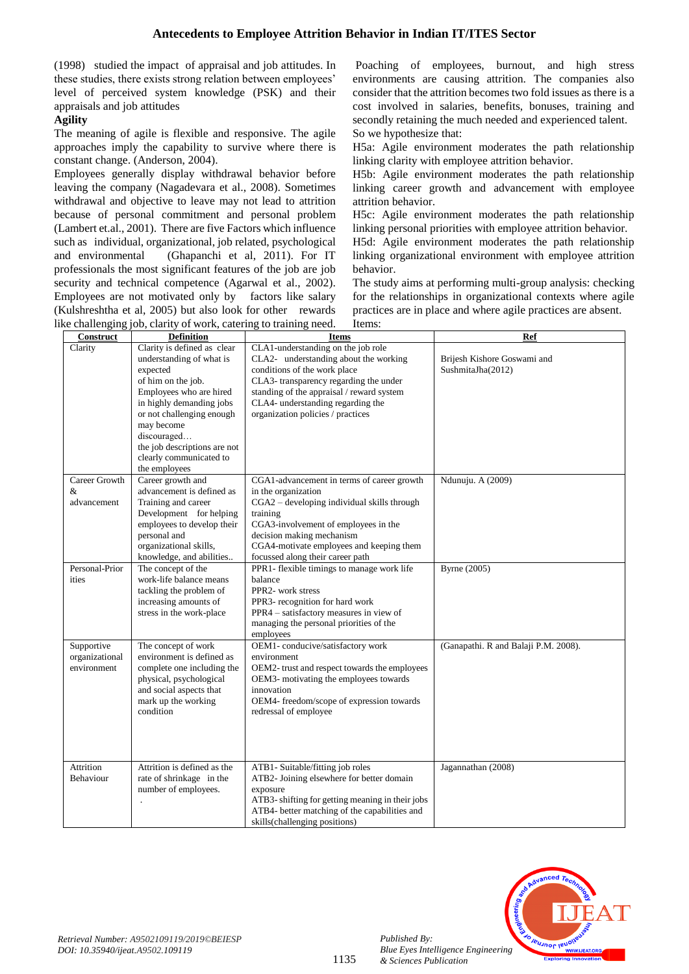(1998) studied the impact of appraisal and job attitudes. In these studies, there exists strong relation between employees' level of perceived system knowledge (PSK) and their appraisals and job attitudes

## **Agility**

The meaning of agile is flexible and responsive. The agile approaches imply the capability to survive where there is constant change. (Anderson, 2004).

Employees generally display withdrawal behavior before leaving the company (Nagadevara et al., 2008). Sometimes withdrawal and objective to leave may not lead to attrition because of personal commitment and personal problem (Lambert et.al., 2001). There are five Factors which influence such as individual, organizational, job related, psychological and environmental (Ghapanchi et al, 2011). For IT professionals the most significant features of the job are job security and technical competence (Agarwal et al., 2002). Employees are not motivated only by factors like salary (Kulshreshtha et al, 2005) but also look for other rewards like challenging job, clarity of work, catering to training need.

Poaching of employees, burnout, and high stress environments are causing attrition. The companies also consider that the attrition becomes two fold issues as there is a cost involved in salaries, benefits, bonuses, training and secondly retaining the much needed and experienced talent. So we hypothesize that:

H5a: Agile environment moderates the path relationship linking clarity with employee attrition behavior.

H5b: Agile environment moderates the path relationship linking career growth and advancement with employee attrition behavior.

H5c: Agile environment moderates the path relationship linking personal priorities with employee attrition behavior.

H5d: Agile environment moderates the path relationship linking organizational environment with employee attrition behavior.

The study aims at performing multi-group analysis: checking for the relationships in organizational contexts where agile practices are in place and where agile practices are absent.

|                                             | ke challenging job, clarity of work, catering to training need.                                                                                                                                                                                                                        | Items:                                                                                                                                                                                                                                                                            |                                                  |
|---------------------------------------------|----------------------------------------------------------------------------------------------------------------------------------------------------------------------------------------------------------------------------------------------------------------------------------------|-----------------------------------------------------------------------------------------------------------------------------------------------------------------------------------------------------------------------------------------------------------------------------------|--------------------------------------------------|
| Construct                                   | <b>Definition</b>                                                                                                                                                                                                                                                                      | <b>Items</b>                                                                                                                                                                                                                                                                      | Ref                                              |
| Clarity                                     | Clarity is defined as clear<br>understanding of what is<br>expected<br>of him on the job.<br>Employees who are hired<br>in highly demanding jobs<br>or not challenging enough<br>may become<br>discouraged<br>the job descriptions are not<br>clearly communicated to<br>the employees | CLA1-understanding on the job role<br>CLA2- understanding about the working<br>conditions of the work place<br>CLA3- transparency regarding the under<br>standing of the appraisal / reward system<br>CLA4- understanding regarding the<br>organization policies / practices      | Brijesh Kishore Goswami and<br>SushmitaJha(2012) |
| Career Growth<br>&<br>advancement           | Career growth and<br>advancement is defined as<br>Training and career<br>Development for helping<br>employees to develop their<br>personal and<br>organizational skills,<br>knowledge, and abilities                                                                                   | CGA1-advancement in terms of career growth<br>in the organization<br>CGA2 - developing individual skills through<br>training<br>CGA3-involvement of employees in the<br>decision making mechanism<br>CGA4-motivate employees and keeping them<br>focussed along their career path | Ndunuju. A (2009)                                |
| Personal-Prior<br>ities                     | The concept of the<br>work-life balance means<br>tackling the problem of<br>increasing amounts of<br>stress in the work-place                                                                                                                                                          | PPR1- flexible timings to manage work life<br>balance<br>PPR2- work stress<br>PPR3- recognition for hard work<br>PPR4 - satisfactory measures in view of<br>managing the personal priorities of the<br>employees                                                                  | <b>Byrne</b> (2005)                              |
| Supportive<br>organizational<br>environment | The concept of work<br>environment is defined as<br>complete one including the<br>physical, psychological<br>and social aspects that<br>mark up the working<br>condition                                                                                                               | OEM1-conducive/satisfactory work<br>environment<br>OEM2- trust and respect towards the employees<br>OEM3- motivating the employees towards<br>innovation<br>OEM4- freedom/scope of expression towards<br>redressal of employee                                                    | (Ganapathi. R and Balaji P.M. 2008).             |
| Attrition<br>Behaviour                      | Attrition is defined as the<br>rate of shrinkage in the<br>number of employees.                                                                                                                                                                                                        | ATB1- Suitable/fitting job roles<br>ATB2- Joining elsewhere for better domain<br>exposure<br>ATB3- shifting for getting meaning in their jobs<br>ATB4- better matching of the capabilities and<br>skills(challenging positions)                                                   | Jagannathan (2008)                               |



*Published By:*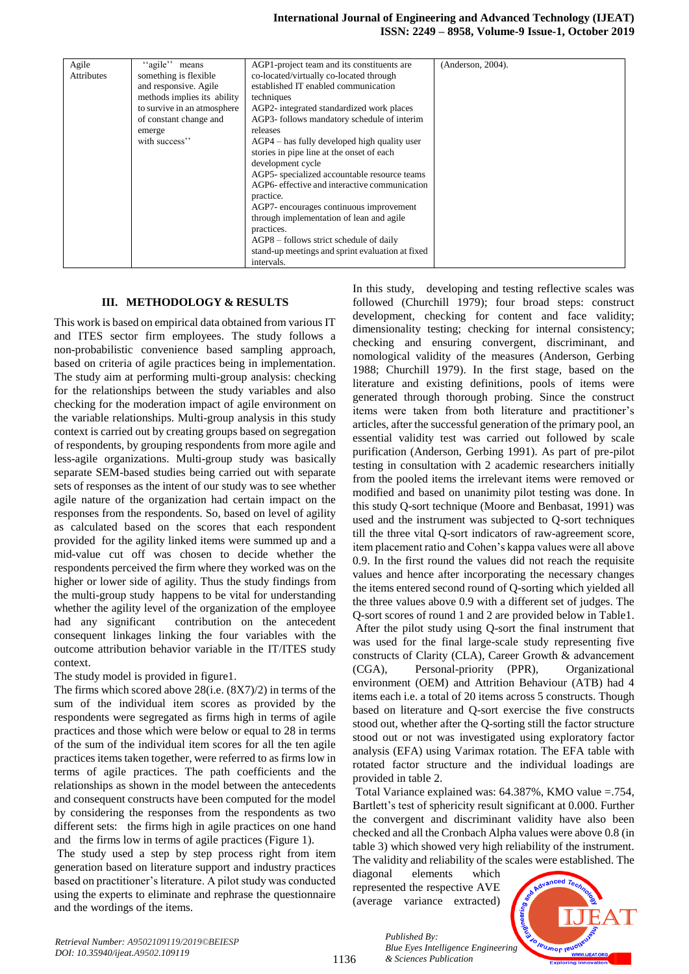| Agile             | "agile" means               | AGP1-project team and its constituents are       | (Anderson, 2004). |
|-------------------|-----------------------------|--------------------------------------------------|-------------------|
| <b>Attributes</b> | something is flexible       | co-located/virtually co-located through          |                   |
|                   | and responsive. Agile       | established IT enabled communication             |                   |
|                   | methods implies its ability | techniques                                       |                   |
|                   | to survive in an atmosphere | AGP2- integrated standardized work places        |                   |
|                   | of constant change and      | AGP3- follows mandatory schedule of interim      |                   |
|                   | emerge                      | releases                                         |                   |
|                   | with success"               | $AGP4$ – has fully developed high quality user   |                   |
|                   |                             | stories in pipe line at the onset of each        |                   |
|                   |                             | development cycle                                |                   |
|                   |                             | AGP5- specialized accountable resource teams     |                   |
|                   |                             | AGP6- effective and interactive communication    |                   |
|                   |                             | practice.                                        |                   |
|                   |                             | AGP7- encourages continuous improvement          |                   |
|                   |                             | through implementation of lean and agile         |                   |
|                   |                             | practices.                                       |                   |
|                   |                             | AGP8 – follows strict schedule of daily          |                   |
|                   |                             | stand-up meetings and sprint evaluation at fixed |                   |
|                   |                             | intervals.                                       |                   |

## **III. METHODOLOGY & RESULTS**

This work is based on empirical data obtained from various IT and ITES sector firm employees. The study follows a non-probabilistic convenience based sampling approach, based on criteria of agile practices being in implementation. The study aim at performing multi-group analysis: checking for the relationships between the study variables and also checking for the moderation impact of agile environment on the variable relationships. Multi-group analysis in this study context is carried out by creating groups based on segregation of respondents, by grouping respondents from more agile and less-agile organizations. Multi-group study was basically separate SEM-based studies being carried out with separate sets of responses as the intent of our study was to see whether agile nature of the organization had certain impact on the responses from the respondents. So, based on level of agility as calculated based on the scores that each respondent provided for the agility linked items were summed up and a mid-value cut off was chosen to decide whether the respondents perceived the firm where they worked was on the higher or lower side of agility. Thus the study findings from the multi-group study happens to be vital for understanding whether the agility level of the organization of the employee had any significant contribution on the antecedent consequent linkages linking the four variables with the outcome attribution behavior variable in the IT/ITES study context.

The study model is provided in figure1.

The firms which scored above 28(i.e. (8X7)/2) in terms of the sum of the individual item scores as provided by the respondents were segregated as firms high in terms of agile practices and those which were below or equal to 28 in terms of the sum of the individual item scores for all the ten agile practices items taken together, were referred to as firms low in terms of agile practices. The path coefficients and the relationships as shown in the model between the antecedents and consequent constructs have been computed for the model by considering the responses from the respondents as two different sets: the firms high in agile practices on one hand and the firms low in terms of agile practices (Figure 1).

The study used a step by step process right from item generation based on literature support and industry practices based on practitioner's literature. A pilot study was conducted using the experts to eliminate and rephrase the questionnaire and the wordings of the items.

In this study, developing and testing reflective scales was followed (Churchill 1979); four broad steps: construct development, checking for content and face validity; dimensionality testing; checking for internal consistency; checking and ensuring convergent, discriminant, and nomological validity of the measures (Anderson, Gerbing 1988; Churchill 1979). In the first stage, based on the literature and existing definitions, pools of items were generated through thorough probing. Since the construct items were taken from both literature and practitioner's articles, after the successful generation of the primary pool, an essential validity test was carried out followed by scale purification (Anderson, Gerbing 1991). As part of pre-pilot testing in consultation with 2 academic researchers initially from the pooled items the irrelevant items were removed or modified and based on unanimity pilot testing was done. In this study Q-sort technique (Moore and Benbasat, 1991) was used and the instrument was subjected to Q-sort techniques till the three vital Q-sort indicators of raw-agreement score, item placement ratio and Cohen's kappa values were all above 0.9. In the first round the values did not reach the requisite values and hence after incorporating the necessary changes the items entered second round of Q-sorting which yielded all the three values above 0.9 with a different set of judges. The Q-sort scores of round 1 and 2 are provided below in Table1. After the pilot study using Q-sort the final instrument that was used for the final large-scale study representing five constructs of Clarity (CLA), Career Growth & advancement (CGA), Personal-priority (PPR), Organizational environment (OEM) and Attrition Behaviour (ATB) had 4 items each i.e. a total of 20 items across 5 constructs. Though based on literature and Q-sort exercise the five constructs stood out, whether after the Q-sorting still the factor structure stood out or not was investigated using exploratory factor analysis (EFA) using Varimax rotation. The EFA table with rotated factor structure and the individual loadings are provided in table 2.

Total Variance explained was:  $64.387\%$ . KMO value =  $.754$ . Bartlett's test of sphericity result significant at 0.000. Further the convergent and discriminant validity have also been checked and all the Cronbach Alpha values were above 0.8 (in table 3) which showed very high reliability of the instrument. The validity and reliability of the scales were established. The

diagonal elements which represented the respective AVE (average variance extracted)

*& Sciences Publication* 

*Published By:*



1136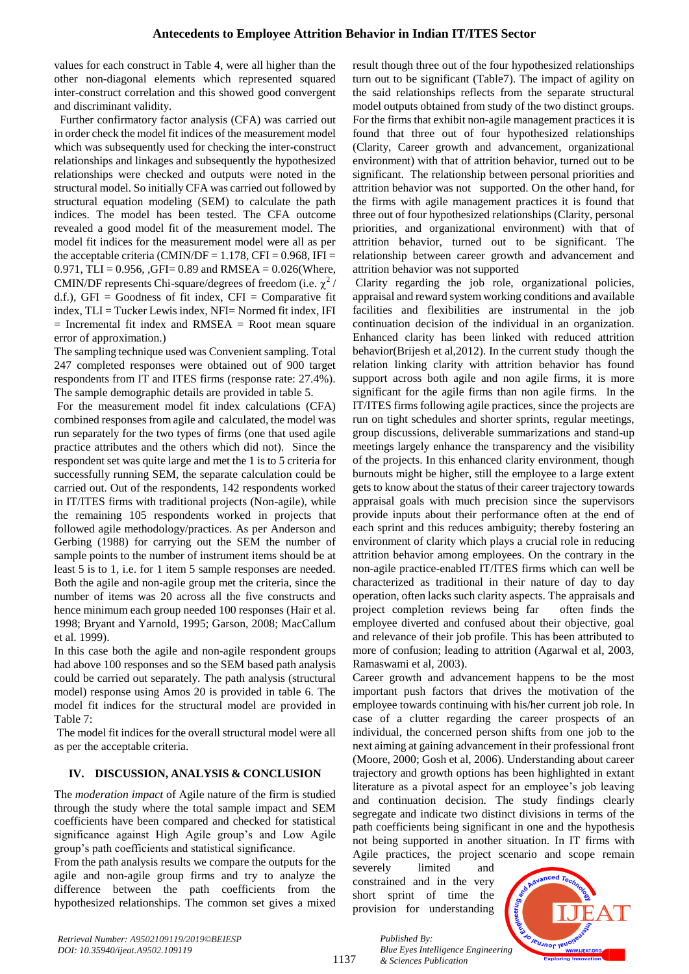values for each construct in Table 4, were all higher than the other non-diagonal elements which represented squared inter-construct correlation and this showed good convergent and discriminant validity.

Further confirmatory factor analysis (CFA) was carried out in order check the model fit indices of the measurement model which was subsequently used for checking the inter-construct relationships and linkages and subsequently the hypothesized relationships were checked and outputs were noted in the structural model. So initially CFA was carried out followed by structural equation modeling (SEM) to calculate the path indices. The model has been tested. The CFA outcome revealed a good model fit of the measurement model. The model fit indices for the measurement model were all as per the acceptable criteria (CMIN/DF =  $1.178$ , CFI = 0.968, IFI = 0.971, TLI =  $0.956$ , GFI= 0.89 and RMSEA =  $0.026$ (Where, CMIN/DF represents Chi-square/degrees of freedom (i.e.  $\chi^2$  / d.f.),  $GFI = Goodness$  of fit index,  $CFI = Comparative$  fit index, TLI = Tucker Lewis index, NFI= Normed fit index, IFI  $=$  Incremental fit index and RMSEA  $=$  Root mean square error of approximation.)

The sampling technique used was Convenient sampling. Total 247 completed responses were obtained out of 900 target respondents from IT and ITES firms (response rate: 27.4%). The sample demographic details are provided in table 5.

For the measurement model fit index calculations (CFA) combined responses from agile and calculated, the model was run separately for the two types of firms (one that used agile practice attributes and the others which did not). Since the respondent set was quite large and met the 1 is to 5 criteria for successfully running SEM, the separate calculation could be carried out. Out of the respondents, 142 respondents worked in IT/ITES firms with traditional projects (Non-agile), while the remaining 105 respondents worked in projects that followed agile methodology/practices. As per Anderson and Gerbing (1988) for carrying out the SEM the number of sample points to the number of instrument items should be at least 5 is to 1, i.e. for 1 item 5 sample responses are needed. Both the agile and non-agile group met the criteria, since the number of items was 20 across all the five constructs and hence minimum each group needed 100 responses (Hair et al. 1998; Bryant and Yarnold, 1995; Garson, 2008; MacCallum et al. 1999).

In this case both the agile and non-agile respondent groups had above 100 responses and so the SEM based path analysis could be carried out separately. The path analysis (structural model) response using Amos 20 is provided in table 6. The model fit indices for the structural model are provided in Table 7:

The model fit indices for the overall structural model were all as per the acceptable criteria.

## **IV. DISCUSSION, ANALYSIS & CONCLUSION**

The *moderation impact* of Agile nature of the firm is studied through the study where the total sample impact and SEM coefficients have been compared and checked for statistical significance against High Agile group's and Low Agile group's path coefficients and statistical significance.

From the path analysis results we compare the outputs for the agile and non-agile group firms and try to analyze the difference between the path coefficients from the hypothesized relationships. The common set gives a mixed result though three out of the four hypothesized relationships turn out to be significant (Table7). The impact of agility on the said relationships reflects from the separate structural model outputs obtained from study of the two distinct groups. For the firms that exhibit non-agile management practices it is found that three out of four hypothesized relationships (Clarity, Career growth and advancement, organizational environment) with that of attrition behavior, turned out to be significant. The relationship between personal priorities and attrition behavior was not supported. On the other hand, for the firms with agile management practices it is found that three out of four hypothesized relationships (Clarity, personal priorities, and organizational environment) with that of attrition behavior, turned out to be significant. The relationship between career growth and advancement and attrition behavior was not supported

Clarity regarding the job role, organizational policies, appraisal and reward system working conditions and available facilities and flexibilities are instrumental in the job continuation decision of the individual in an organization. Enhanced clarity has been linked with reduced attrition behavior(Brijesh et al,2012). In the current study though the relation linking clarity with attrition behavior has found support across both agile and non agile firms, it is more significant for the agile firms than non agile firms. In the IT/ITES firms following agile practices, since the projects are run on tight schedules and shorter sprints, regular meetings, group discussions, deliverable summarizations and stand-up meetings largely enhance the transparency and the visibility of the projects. In this enhanced clarity environment, though burnouts might be higher, still the employee to a large extent gets to know about the status of their career trajectory towards appraisal goals with much precision since the supervisors provide inputs about their performance often at the end of each sprint and this reduces ambiguity; thereby fostering an environment of clarity which plays a crucial role in reducing attrition behavior among employees. On the contrary in the non-agile practice-enabled IT/ITES firms which can well be characterized as traditional in their nature of day to day operation, often lacks such clarity aspects. The appraisals and project completion reviews being far often finds the employee diverted and confused about their objective, goal and relevance of their job profile. This has been attributed to more of confusion; leading to attrition (Agarwal et al, 2003, Ramaswami et al, 2003).

Career growth and advancement happens to be the most important push factors that drives the motivation of the employee towards continuing with his/her current job role. In case of a clutter regarding the career prospects of an individual, the concerned person shifts from one job to the next aiming at gaining advancement in their professional front (Moore, 2000; Gosh et al, 2006). Understanding about career trajectory and growth options has been highlighted in extant literature as a pivotal aspect for an employee's job leaving and continuation decision. The study findings clearly segregate and indicate two distinct divisions in terms of the path coefficients being significant in one and the hypothesis not being supported in another situation. In IT firms with Agile practices, the project scenario and scope remain

severely limited and constrained and in the very short sprint of time the provision for understanding



1137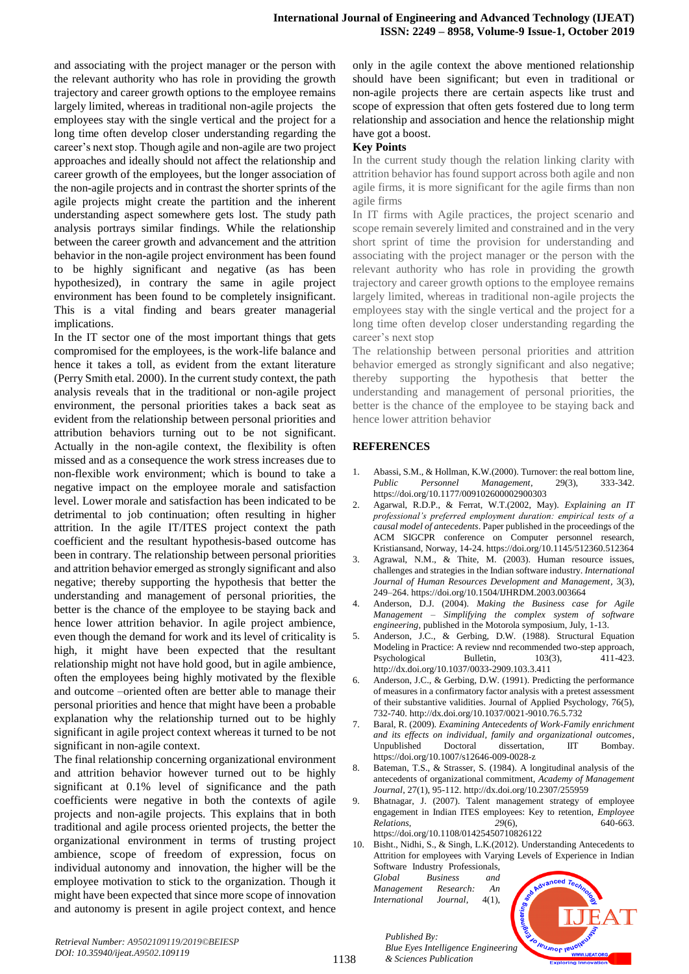and associating with the project manager or the person with the relevant authority who has role in providing the growth trajectory and career growth options to the employee remains largely limited, whereas in traditional non-agile projects the employees stay with the single vertical and the project for a long time often develop closer understanding regarding the career's next stop. Though agile and non-agile are two project approaches and ideally should not affect the relationship and career growth of the employees, but the longer association of the non-agile projects and in contrast the shorter sprints of the agile projects might create the partition and the inherent understanding aspect somewhere gets lost. The study path analysis portrays similar findings. While the relationship between the career growth and advancement and the attrition behavior in the non-agile project environment has been found to be highly significant and negative (as has been hypothesized), in contrary the same in agile project environment has been found to be completely insignificant. This is a vital finding and bears greater managerial implications.

In the IT sector one of the most important things that gets compromised for the employees, is the work-life balance and hence it takes a toll, as evident from the extant literature (Perry Smith etal. 2000). In the current study context, the path analysis reveals that in the traditional or non-agile project environment, the personal priorities takes a back seat as evident from the relationship between personal priorities and attribution behaviors turning out to be not significant. Actually in the non-agile context, the flexibility is often missed and as a consequence the work stress increases due to non-flexible work environment; which is bound to take a negative impact on the employee morale and satisfaction level. Lower morale and satisfaction has been indicated to be detrimental to job continuation; often resulting in higher attrition. In the agile IT/ITES project context the path coefficient and the resultant hypothesis-based outcome has been in contrary. The relationship between personal priorities and attrition behavior emerged as strongly significant and also negative; thereby supporting the hypothesis that better the understanding and management of personal priorities, the better is the chance of the employee to be staying back and hence lower attrition behavior. In agile project ambience, even though the demand for work and its level of criticality is high, it might have been expected that the resultant relationship might not have hold good, but in agile ambience, often the employees being highly motivated by the flexible and outcome –oriented often are better able to manage their personal priorities and hence that might have been a probable explanation why the relationship turned out to be highly significant in agile project context whereas it turned to be not significant in non-agile context.

The final relationship concerning organizational environment and attrition behavior however turned out to be highly significant at 0.1% level of significance and the path coefficients were negative in both the contexts of agile projects and non-agile projects. This explains that in both traditional and agile process oriented projects, the better the organizational environment in terms of trusting project ambience, scope of freedom of expression, focus on individual autonomy and innovation, the higher will be the employee motivation to stick to the organization. Though it might have been expected that since more scope of innovation and autonomy is present in agile project context, and hence

only in the agile context the above mentioned relationship should have been significant; but even in traditional or non-agile projects there are certain aspects like trust and scope of expression that often gets fostered due to long term relationship and association and hence the relationship might have got a boost.

## **Key Points**

In the current study though the relation linking clarity with attrition behavior has found support across both agile and non agile firms, it is more significant for the agile firms than non agile firms

In IT firms with Agile practices, the project scenario and scope remain severely limited and constrained and in the very short sprint of time the provision for understanding and associating with the project manager or the person with the relevant authority who has role in providing the growth trajectory and career growth options to the employee remains largely limited, whereas in traditional non-agile projects the employees stay with the single vertical and the project for a long time often develop closer understanding regarding the career's next stop

The relationship between personal priorities and attrition behavior emerged as strongly significant and also negative; thereby supporting the hypothesis that better the understanding and management of personal priorities, the better is the chance of the employee to be staying back and hence lower attrition behavior

## **REFERENCES**

- 1. Abassi, S.M., & Hollman, K.W.(2000). Turnover: the real bottom line, *Public Personnel Management*, 29(3), 333-342. <https://doi.org/10.1177/009102600002900303>
- 2. Agarwal, R.D.P., & Ferrat, W.T.(2002, May). *Explaining an IT professional's preferred employment duration: empirical tests of a causal model of antecedents*. Paper published in the proceedings of the ACM SIGCPR conference on Computer personnel research, Kristiansand, Norway, 14-24. https://doi.org[/10.1145/512360.512364](https://doi.org/10.1145/512360.512364)
- 3. Agrawal, N.M., & Thite, M. (2003). Human resource issues, challenges and strategies in the Indian software industry. *International Journal of Human Resources Development and Management,* 3(3), 249–264. <https://doi.org/10.1504/IJHRDM.2003.003664>
- 4. Anderson, D.J. (2004). *Making the Business case for Agile Management – Simplifying the complex system of software engineering*, published in the Motorola symposium, July, 1-13.
- 5. Anderson, J.C., & Gerbing, D.W. (1988). Structural Equation Modeling in Practice: A review nnd recommended two-step approach, Psychological Bulletin, 103(3), 411-423. [http://dx.doi.org/10.1037/0033-2909.103.3.411](http://psycnet.apa.org/doi/10.1037/0033-2909.103.3.411)
- 6. Anderson, J.C., & Gerbing, D.W. (1991). Predicting the performance of measures in a confirmatory factor analysis with a pretest assessment of their substantive validities. Journal of Applied Psychology, 76(5), 732-740. [http://dx.doi.org/10.1037/0021-9010.76.5.732](http://psycnet.apa.org/doi/10.1037/0021-9010.76.5.732)
- 7. Baral, R. (2009). *Examining Antecedents of Work-Family enrichment and its effects on individual, family and organizational outcomes*, Unpublished Doctoral dissertation, IIT Bombay. https://doi.org/10.1007/s12646-009-0028-z
- 8. Bateman, T.S., & Strasser, S. (1984). A longitudinal analysis of the antecedents of organizational commitment, *Academy of Management Journal*, 27(1), 95-112. http://dx.doi.org/10.2307/255959
- 9. Bhatnagar, J. (2007). Talent management strategy of employee engagement in Indian ITES employees: Key to retention, *Employee Relations*, *29*(6), 640-663.

<https://doi.org/10.1108/01425450710826122>

10. Bisht., Nidhi, S., & Singh, L.K.(2012). Understanding Antecedents to Attrition for employees with Varying Levels of Experience in Indian Software Industry Professionals,

*Global Business and Management Research: An International Journal,* 4(1),



1138

*Published By: Blue Eyes Intelligence Engineering & Sciences Publication*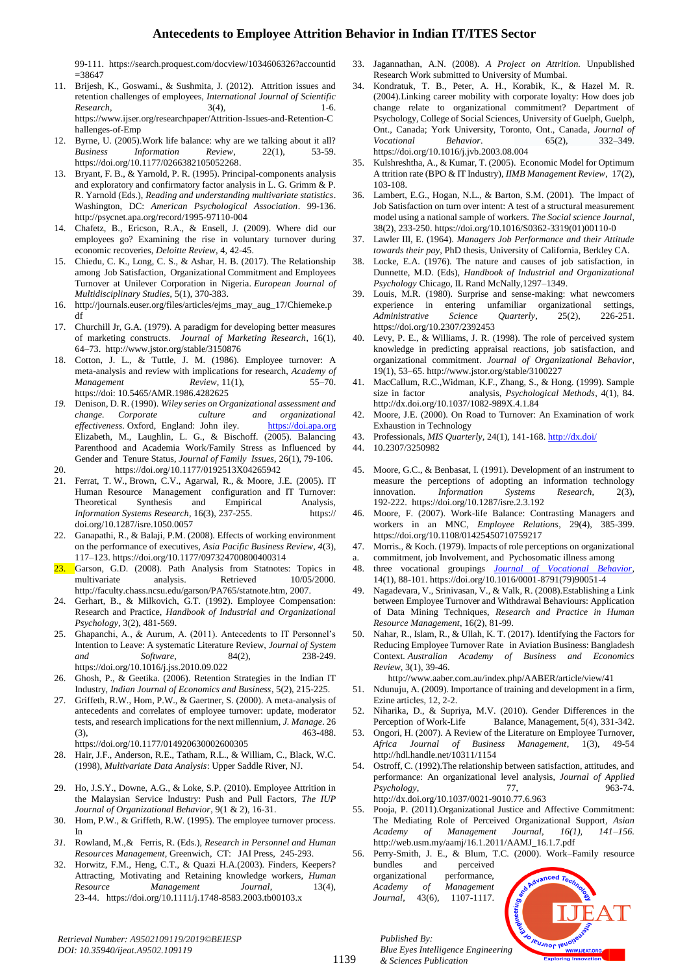99-111. https://search.proquest.com/docview/1034606326?accountid  $=$ 38647

- 11. Brijesh, K., Goswami., & Sushmita, J. (2012). Attrition issues and retention challenges of employees, *International Journal of Scientific Research*, 3(4), 3(4), 1-6. https://www.ijser.org/researchpaper/Attrition-Issues-and-Retention-C hallenges-of-Emp
- 12. Byrne, U. (2005).Work life balance: why are we talking about it all? *Business Information Review*, 22(1), 53-59. [https://doi.org/10.1177/0266382105052268.](https://doi.org/10.1177/0266382105052268)
- 13. Bryant, F. B., & Yarnold, P. R. (1995). Principal-components analysis and exploratory and confirmatory factor analysis in L. G. Grimm & P. R. Yarnold (Eds.), *Reading and understanding multivariate statistics*. Washington, DC: *American Psychological Association*. 99-136. http://psycnet.apa.org/record/1995-97110-004
- 14. Chafetz, B., Ericson, R.A., & Ensell, J. (2009). Where did our employees go? Examining the rise in voluntary turnover during economic recoveries, *Deloitte Review*, 4, 42-45.
- 15. Chiedu, C. K., Long, C. S., & Ashar, H. B. (2017). The Relationship among Job Satisfaction, Organizational Commitment and Employees Turnover at Unilever Corporation in Nigeria. *European Journal of Multidisciplinary Studies*, 5(1), 370-383.
- 16. http://journals.euser.org/files/articles/ejms\_may\_aug\_17/Chiemeke.p df
- 17. Churchill Jr, G.A. (1979). A paradigm for developing better measures of marketing constructs. *Journal of Marketing Research*, 16(1), 64–73. http://www.jstor.org/stable/3150876
- 18. Cotton, J. L., & Tuttle, J. M. (1986). Employee turnover: A meta-analysis and review with implications for research, *Academy of Management Review,* 11(1), 55–70. https://doi: 10.5465/AMR.1986.4282625
- *19.* Denison, D. R. (1990). *Wiley series on Organizational assessment and change. Corporate culture and organizational*  effectiveness. Oxford, England: John iley. [https://doi.apa.org](https://doi.apa.org/) Elizabeth, M., Laughlin, L. G., & Bischoff. (2005). Balancing Parenthood and Academia Work/Family Stress as Influenced by Gender and Tenure Status, *Journal of Family Issues,* 26(1), 79-106. 20. <https://doi.org/10.1177/0192513X04265942>
- 
- 21. Ferrat, T. W., Brown, C.V., Agarwal, R., & Moore, J.E. (2005). IT Human Resource Management configuration and IT Turnover: Theoretical Synthesis and Empirical Analysis, *Information Systems Research*, 16(3), 237-255. https:// doi.org/10.1287/isre.1050.0057
- Ganapathi, R., & Balaji, P.M. (2008). Effects of working environment on the performance of executives, *Asia Pacific Business Review, 4*(3), 117–123. <https://doi.org/10.1177/097324700800400314>
- Garson, G.D. (2008). Path Analysis from Statnotes: Topics in multivariate analysis. Retrieved 10/05/2000. http://faculty.chass.ncsu.edu/garson/PA765/statnote.htm, 2007.
- 24. Gerhart, B., & Milkovich, G.T. (1992). Employee Compensation: Research and Practice, *Handbook of Industrial and Organizational Psychology*, 3(2), 481-569.
- 25. Ghapanchi, A., & Aurum, A. (2011). Antecedents to IT Personnel's Intention to Leave: A systematic Literature Review, *Journal of System and Software*, 84(2), 238-249. <https://doi.org/10.1016/j.jss.2010.09.022>
- 26. Ghosh, P., & Geetika. (2006). Retention Strategies in the Indian IT Industry, *Indian Journal of Economics and Business*, 5(2), 215-225.
- 27. Griffeth, R.W., Hom, P.W., & Gaertner, S. (2000). A meta-analysis of antecedents and correlates of employee turnover: update, moderator tests, and research implications for the next millennium, *J. Manage*. 26 (3), 463-488. https://doi.org/10.1177/014920630002600305
- 28. Hair, J.F., Anderson, R.E., Tatham, R.L., & William, C., Black, W.C. (1998), *Multivariate Data Analysis*: Upper Saddle River, NJ.
- 29. Ho, J.S.Y., Downe, A.G., & Loke, S.P. (2010). Employee Attrition in the Malaysian Service Industry: Push and Pull Factors, *The IUP Journal of Organizational Behavior*, 9(1 & 2), 16-31.
- 30. Hom, P.W., & Griffeth, R.W. (1995). The employee turnover process. In
- *31.* Rowland, M.,& Ferris, R. (Eds.), *Research in Personnel and Human Resources Management*, Greenwich, CT: JAI Press, 245-293.
- 32. Horwitz, F.M., Heng, C.T., & Quazi H.A.(2003). Finders, Keepers? Attracting, Motivating and Retaining knowledge workers, *Human Resource Management Journal*, 13(4), 23-44. https://doi.org/10.1111/j.1748-8583.2003.tb00103.x
- 33. Jagannathan, A.N. (2008). *A Project on Attrition.* Unpublished Research Work submitted to University of Mumbai.
- 34. Kondratuk, T. B., Peter, A. H., Korabik, K., & Hazel M. R. (2004).Linking career mobility with corporate loyalty: How does job change relate to organizational commitment? Department of Psychology, College of Social Sciences, University of Guelph, Guelph, Ont., Canada; York University, Toronto, Ont., Canada*, Journal of Vocational Behavior*. [65\(2\),](http://www.sciencedirect.com/science/journal/00018791/65/2) 332–349. <https://doi.org/10.1016/j.jvb.2003.08.004>
- 35. Kulshreshtha, A., & Kumar, T. (2005). Economic Model for Optimum A ttrition rate (BPO & IT Industry), *IIMB Management Review*, 17(2), 103-108.
- 36. Lambert, E.G., Hogan, N.L., & Barton, S.M. (2001). The Impact of Job Satisfaction on turn over intent: A test of a structural measurement model using a national sample of workers. *The Social science Journal*, 38(2), 233-250. [https://doi.org/10.1016/S0362-3319\(01\)00110-0](https://doi.org/10.1016/S0362-3319(01)00110-0)
- 37. Lawler III, E. (1964). *Managers Job Performance and their Attitude towards their pay*, PhD thesis, University of California, Berkley CA.
- 38. Locke, E.A. (1976). The nature and causes of job satisfaction, in Dunnette, M.D. (Eds), *Handbook of Industrial and Organizational Psychology* Chicago, IL Rand McNally,1297–1349.
- Louis, M.R. (1980). Surprise and sense-making: what newcomers experience in entering unfamiliar organizational settings, *Administrative Science Quarterly*, 25(2), 226-251. https://doi.org/10.2307/2392453
- 40. Levy, P. E., & Williams, J. R. (1998). The role of perceived system knowledge in predicting appraisal reactions, job satisfaction, and organizational commitment. *Journal of Organizational Behavior,* 19(1), 53–65. http://www.jstor.org/stable/3100227
- 41. MacCallum, R.C.,Widman, K.F., Zhang, S., & Hong. (1999). Sample size in factor analysis, *Psychological Methods*, 4(1), 84. [http://dx.doi.org/10.1037/1082-989X.4.1.84](http://psycnet.apa.org/doi/10.1037/1082-989X.4.1.84)
- 42. Moore, J.E. (2000). On Road to Turnover: An Examination of work Exhaustion in Technology
- 43. Professionals, *MIS Quarterly*, 24(1), 141-168. <http://dx.doi/>
- 44. 10.2307/3250982
- 45. Moore, G.C., & Benbasat, I. (1991). Development of an instrument to measure the perceptions of adopting an information technology innovation. *Information Systems Research,* 2(3), 192-222. <https://doi.org/10.1287/isre.2.3.192>
- 46. Moore, F. (2007). Work-life Balance: Contrasting Managers and workers in an MNC, *Employee Relations*, 29(4), 385-399. <https://doi.org/10.1108/01425450710759217>
- 47. Morris., & Koch. (1979). Impacts of role perceptions on organizational
- commitment, job Involvement, and Pychosomatic illness among
- 48. three vocational groupings *[Journal of Vocational Behavior](Journal%20of%20Vocational%20Behavior)*, [14\(1\)](http://www.sciencedirect.com/science/journal/00018791/14/1), 88-101. [https://doi.org/10.1016/0001-8791\(79\)90051-4](https://doi.org/10.1016/0001-8791(79)90051-4)
- 49. Nagadevara, V., Srinivasan, V., & Valk, R. (2008).Establishing a Link between Employee Turnover and Withdrawal Behaviours: Application of Data Mining Techniques, *Research and Practice in Human Resource Management*, 16(2), 81-99.
- 50. Nahar, R., Islam, R., & Ullah, K. T. (2017). Identifying the Factors for Reducing Employee Turnover Rate in Aviation Business: Bangladesh Context*. Australian Academy of Business and Economics Review*, 3(1), 39-46.

<http://www.aaber.com.au/index.php/AABER/article/view/41>

- 51. Ndunuju, A. (2009). Importance of training and development in a firm, Ezine articles, 12, 2-2.
- 52. Niharika, D., & Supriya, M.V. (2010). Gender Differences in the Perception of Work-Life Balance, Management, 5(4), 331-342.
- 53. Ongori, H. (2007). A Review of the Literature on Employee Turnover, *Africa Journal of Business Management*, 1(3), 49-54 <http://hdl.handle.net/10311/1154>
- 54. Ostroff, C. (1992).The relationship between satisfaction, attitudes, and performance: An organizational level analysis, *Journal of Applied Psychology*, 77, 963-74*.* [http://dx.doi.org/10.1037/0021-9010.77.6.963](http://psycnet.apa.org/doi/10.1037/0021-9010.77.6.963)
- 55. Pooja, P. (2011).Organizational Justice and Affective Commitment: The Mediating Role of Perceived Organizational Support, *Asian Academy of Management Journal, 16(1), 141–156.* http://web.usm.my/aamj/16.1.2011/AAMJ\_16.1.7.pdf
- 56. Perry-Smith, J. E., & Blum, T.C. (2000). Work–Family resource bundles and perceived organizational performance, *Academy of Management Journal,* 43(6), 1107-1117.



*Published By:*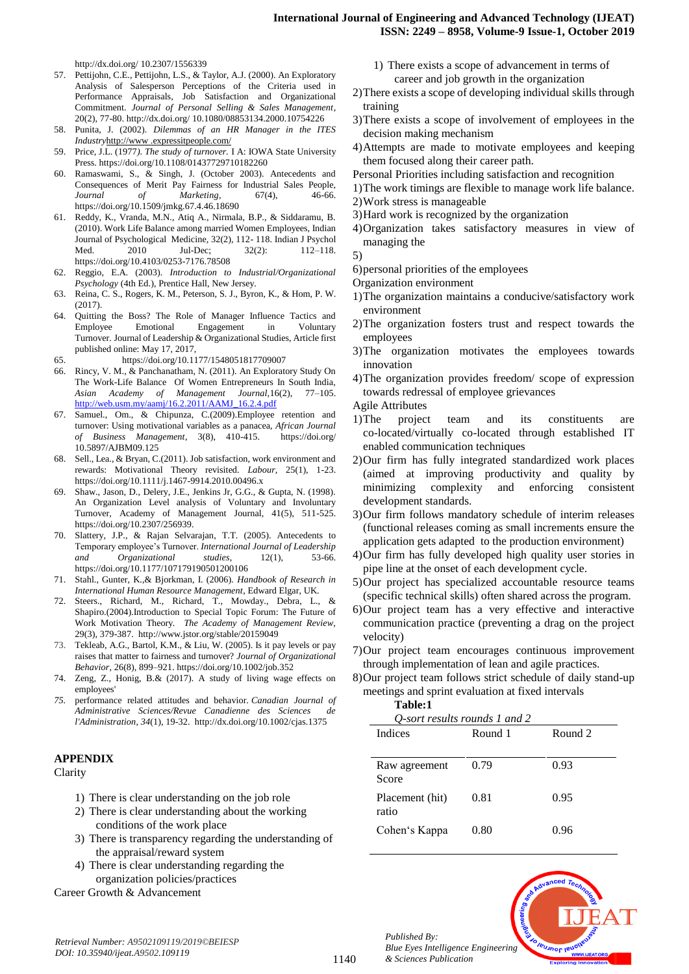## **International Journal of Engineering and Advanced Technology (IJEAT) ISSN: 2249 – 8958, Volume-9 Issue-1, October 2019**

http://dx.doi.org/ 10.2307/1556339

- 57. Pettijohn, C.E., Pettijohn, L.S., & Taylor, A.J. (2000). An Exploratory Analysis of Salesperson Perceptions of the Criteria used in Performance Appraisals, Job Satisfaction and Organizational Commitment. *Journal of Personal Selling & Sales Management*, 20(2), 77-80. http://dx.doi.org/ 10.1080/08853134.2000.10754226
- 58. Punita, J. (2002). *Dilemmas of an HR Manager in the ITES Industry*http://www .expressitpeople.com/
- 59. Price, J.L. (1977*). The study of turnover.* I A: IOWA State University Press. <https://doi.org/10.1108/01437729710182260>
- 60. Ramaswami, S., & Singh, J. (October 2003). Antecedents and Consequences of Merit Pay Fairness for Industrial Sales People, *Journal of Marketing*, 67(4), 46-66. <https://doi.org/10.1509/jmkg.67.4.46.18690>
- 61. Reddy, K., Vranda, M.N., Atiq A., Nirmala, B.P., & Siddaramu, B. (2010). Work Life Balance among married Women Employees, Indian Journal of Psychological Medicine, 32(2), 112- 118[. Indian J Psychol](https://www.ncbi.nlm.nih.gov/pmc/articles/PMC3122548/)  [Med.](https://www.ncbi.nlm.nih.gov/pmc/articles/PMC3122548/) 2010 Jul-Dec; 32(2): 112–118. https://doi.or[g/10.4103/0253-7176.78508](https://dx.doi.org/10.4103%2F0253-7176.78508)
- 62. Reggio, E.A. (2003). *Introduction to Industrial/Organizational Psychology* (4th Ed.), Prentice Hall, New Jersey.
- 63. Reina, C. S., Rogers, K. M., Peterson, S. J., Byron, K., & Hom, P. W. (2017).
- 64. Quitting the Boss? The Role of Manager Influence Tactics and Employee Emotional Engagement in Voluntary Turnover. Journal of Leadership & Organizational Studies, Article first published online: May 17, 2017,
- 65. <https://doi.org/10.1177/1548051817709007>
- 66. Rincy, V. M., & Panchanatham, N. (2011). An Exploratory Study On The Work-Life Balance Of Women Entrepreneurs In South India, *Asian Academy of Management Journal,*16(2), 77–105. [http://web.usm.my/aamj/16.2.2011/AAMJ\\_16.2.4.pdf](http://web.usm.my/aamj/16.2.2011/AAMJ_16.2.4.pdf)
- 67. Samuel., Om., & Chipunza, C.(2009).Employee retention and turnover: Using motivational variables as a panacea, *African Journal of Business Management*, 3(8), 410-415. https://doi.org/ 10.5897/AJBM09.125
- 68. Sell., Lea., & Bryan, C.(2011). Job satisfaction, work environment and rewards: Motivational Theory revisited. *Labour,* 25(1), 1-23. https://doi.org/10.1111/j.1467-9914.2010.00496.x
- 69. Shaw., Jason, D., Delery, J.E., Jenkins Jr, G.G., & Gupta, N. (1998). An Organization Level analysis of Voluntary and Involuntary Turnover, Academy of Management Journal, 41(5), 511-525. https://doi.org/10.2307/256939.
- 70. Slattery, J.P., & Rajan [Selvarajan,](http://jlo.sagepub.com/search?author1=T.T.+Rajan+Selvarajan&sortspec=date&submit=Submit) T.T. (2005). Antecedents to Temporary employee's Turnover. *International Journal of Leadership and Organizational studies*, 12(1), 53-66. <https://doi.org/10.1177/107179190501200106>
- 71. Stahl., Gunter, K.,& Bjorkman, I. (2006). *Handbook of Research in International Human Resource Management*, Edward Elgar, UK.
- 72. Steers., Richard, M., Richard, T., Mowday., Debra, L., & Shapiro.(2004).Introduction to Special Topic Forum: The Future of Work Motivation Theory*. The Academy of Management Review,*  29(3), 379-387. http://www.jstor.org/stable/20159049
- 73. Tekleab, A.G., Bartol, K.M., & Liu, W. (2005). Is it pay levels or pay raises that matter to fairness and turnover? *Journal of Organizational Behavior*, 26(8), 899–921. https://doi.org/10.1002/job.352
- 74. Zeng, Z., Honig, B.& (2017). A study of living wage effects on employees'
- *75.* performance related attitudes and behavior. *Canadian Journal of Administrative Sciences/Revue Canadienne des Sciences de l'Administration, 34*(1), 19-32. http://dx.doi.org/10.1002/cjas.1375

# **APPENDIX**

**Clarity** 

- 1) There is clear understanding on the job role
- 2) There is clear understanding about the working conditions of the work place
- 3) There is transparency regarding the understanding of the appraisal/reward system
- 4) There is clear understanding regarding the organization policies/practices

Career Growth & Advancement

- 1) There exists a scope of advancement in terms of career and job growth in the organization
- 2)There exists a scope of developing individual skills through training
- 3)There exists a scope of involvement of employees in the decision making mechanism
- 4)Attempts are made to motivate employees and keeping them focused along their career path.
- Personal Priorities including satisfaction and recognition
- 1)The work timings are flexible to manage work life balance.
- 2)Work stress is manageable
- 3)Hard work is recognized by the organization
- 4)Organization takes satisfactory measures in view of managing the

- 6)personal priorities of the employees
- Organization environment
- 1)The organization maintains a conducive/satisfactory work environment
- 2)The organization fosters trust and respect towards the employees
- 3)The organization motivates the employees towards innovation
- 4)The organization provides freedom/ scope of expression towards redressal of employee grievances
- Agile Attributes
- 1)The project team and its constituents are co-located/virtually co-located through established IT enabled communication techniques
- 2)Our firm has fully integrated standardized work places (aimed at improving productivity and quality by minimizing complexity and enforcing consistent development standards.
- 3)Our firm follows mandatory schedule of interim releases (functional releases coming as small increments ensure the application gets adapted to the production environment)
- 4)Our firm has fully developed high quality user stories in pipe line at the onset of each development cycle.
- 5)Our project has specialized accountable resource teams (specific technical skills) often shared across the program.
- 6)Our project team has a very effective and interactive communication practice (preventing a drag on the project velocity)
- 7)Our project team encourages continuous improvement through implementation of lean and agile practices.
- 8)Our project team follows strict schedule of daily stand-up meetings and sprint evaluation at fixed intervals

| 'able: |
|--------|
|--------|

| O-sort results rounds 1 and 2 |         |         |  |  |  |
|-------------------------------|---------|---------|--|--|--|
| Indices                       | Round 1 | Round 2 |  |  |  |
| Raw agreement<br>Score        | 0.79    | 0.93    |  |  |  |
| Placement (hit)<br>ratio      | 0.81    | 0.95    |  |  |  |
| Cohen's Kappa                 | 0.80    | 0.96    |  |  |  |

**PUJNOF IBI** 



<sup>5)</sup>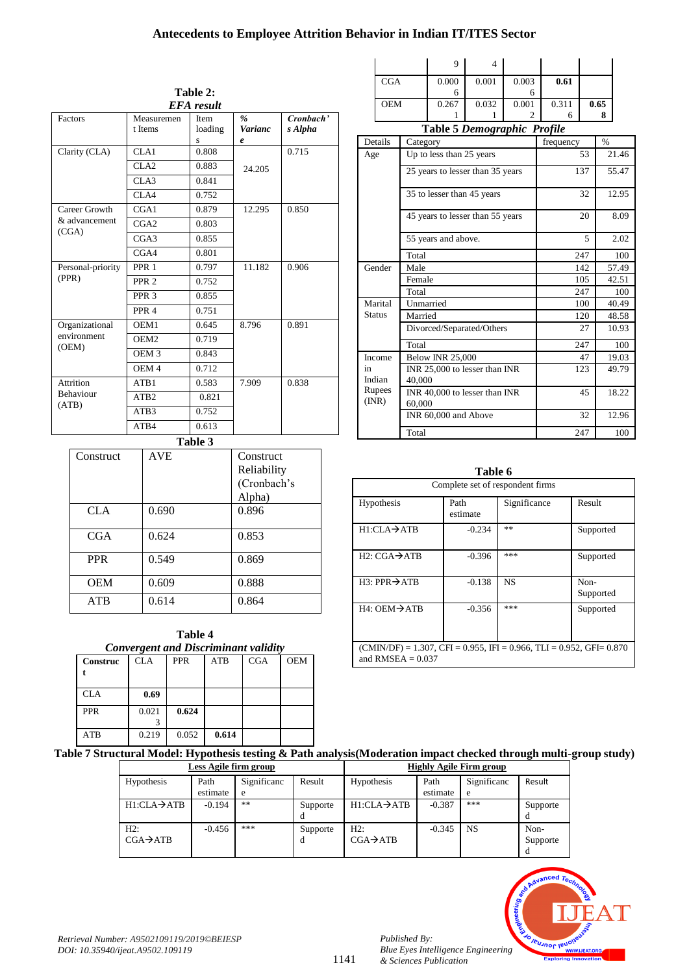# **Antecedents to Employee Attrition Behavior in Indian IT/ITES Sector**

| Table 2:                  |                       |                      |                               |                      |  |  |
|---------------------------|-----------------------|----------------------|-------------------------------|----------------------|--|--|
| <b>EFA</b> result         |                       |                      |                               |                      |  |  |
| Factors                   | Measuremen<br>t Items | Item<br>loading<br>S | $\frac{9}{6}$<br>Varianc<br>e | Cronbach'<br>s Alpha |  |  |
| Clarity (CLA)             | CLA1                  | 0.808                |                               | 0.715                |  |  |
|                           | CLA2                  | 0.883                | 24.205                        |                      |  |  |
|                           | CLA3                  | 0.841                |                               |                      |  |  |
|                           | CLA4                  | 0.752                |                               |                      |  |  |
| Career Growth             | CGA1                  | 0.879                | 12.295                        | 0.850                |  |  |
| & advancement             | CGA2                  | 0.803                |                               |                      |  |  |
| (CGA)                     | CGA3                  | 0.855                |                               |                      |  |  |
|                           | CGA4                  | 0.801                |                               |                      |  |  |
| Personal-priority         | PPR <sub>1</sub>      | 0.797                | 11.182                        | 0.906                |  |  |
| (PPR)                     | PPR <sub>2</sub>      | 0.752                |                               |                      |  |  |
|                           | PPR <sub>3</sub>      | 0.855                |                               |                      |  |  |
|                           | PPR <sub>4</sub>      | 0.751                |                               |                      |  |  |
| Organizational            | OEM1                  | 0.645                | 8.796                         | 0.891                |  |  |
| environment<br>(OEM)      | OEM <sub>2</sub>      | 0.719                |                               |                      |  |  |
|                           | OEM <sub>3</sub>      | 0.843                |                               |                      |  |  |
|                           | OEM <sub>4</sub>      | 0.712                |                               |                      |  |  |
| Attrition                 | ATB1                  | 0.583                | 7.909                         | 0.838                |  |  |
| <b>Behaviour</b><br>(ATB) | ATB <sub>2</sub>      | 0.821                |                               |                      |  |  |
|                           | ATB <sub>3</sub>      | 0.752                |                               |                      |  |  |
|                           | ATB4                  | 0.613                |                               |                      |  |  |

**Table 3**

| Construct  | <b>AVE</b> | Construct   |
|------------|------------|-------------|
|            |            | Reliability |
|            |            | (Cronbach's |
|            |            | Alpha)      |
| <b>CLA</b> | 0.690      | 0.896       |
| CGA        | 0.624      | 0.853       |
|            |            |             |
| <b>PPR</b> | 0.549      | 0.869       |
| <b>OEM</b> | 0.609      | 0.888       |
| <b>ATB</b> | 0.614      | 0.864       |
|            |            |             |

| <b>Convergent and Discriminant validity</b> |       |            |            |            |            |  |  |
|---------------------------------------------|-------|------------|------------|------------|------------|--|--|
| Construc                                    | CLA   | <b>PPR</b> | <b>ATB</b> | <b>CGA</b> | <b>OEM</b> |  |  |
|                                             |       |            |            |            |            |  |  |
|                                             |       |            |            |            |            |  |  |
| <b>CLA</b>                                  | 0.69  |            |            |            |            |  |  |
| <b>PPR</b>                                  | 0.021 | 0.624      |            |            |            |  |  |
|                                             |       |            |            |            |            |  |  |
| <b>ATR</b>                                  | 0.219 | 0.052      | 0.614      |            |            |  |  |
|                                             |       |            |            |            |            |  |  |

|                                    | Q     |       |       |       |      |  |
|------------------------------------|-------|-------|-------|-------|------|--|
| CGA                                | 0.000 | 0.001 | 0.003 | 0.61  |      |  |
|                                    | 6     |       |       |       |      |  |
| <b>OEM</b>                         | 0.267 | 0.032 | 0.001 | 0.311 | 0.65 |  |
|                                    |       |       |       | h     |      |  |
| <b>Table 5 Demographic Profile</b> |       |       |       |       |      |  |

|                 | rasic e Demographie 11 offic            |           |               |
|-----------------|-----------------------------------------|-----------|---------------|
| Details         | Category                                | frequency | $\frac{0}{0}$ |
| Age             | Up to less than 25 years                | 53        | 21.46         |
|                 | 25 years to lesser than 35 years        | 137       | 55.47         |
|                 | 35 to lesser than 45 years              | 32        | 12.95         |
|                 | 45 years to lesser than 55 years        | 20        | 8.09          |
|                 | 55 years and above.                     | 5         | 2.02          |
|                 | Total                                   | 247       | 100           |
| Gender          | Male                                    | 142       | 57.49         |
|                 | Female                                  | 105       | 42.51         |
|                 | Total                                   | 247       | 100           |
| Marital         | Unmarried                               | 100       | 40.49         |
| <b>Status</b>   | Married                                 | 120       | 48.58         |
|                 | Divorced/Separated/Others               | 27        | 10.93         |
|                 | Total                                   | 247       | 100           |
| Income          | <b>Below INR 25,000</b>                 | 47        | 19.03         |
| in<br>Indian    | INR 25,000 to lesser than INR<br>40.000 | 123       | 49.79         |
| Rupees<br>(INR) | INR 40,000 to lesser than INR<br>60.000 | 45        | 18.22         |
|                 | INR 60,000 and Above                    | 32        | 12.96         |
|                 | Total                                   | 247       | 100           |

**Table 6**

| Complete set of respondent firms                                                                           |                  |              |                   |  |  |  |
|------------------------------------------------------------------------------------------------------------|------------------|--------------|-------------------|--|--|--|
| Hypothesis                                                                                                 | Path<br>estimate | Significance | Result            |  |  |  |
| $H1:CLA \rightarrow ATB$                                                                                   | $-0.234$         | **           | Supported         |  |  |  |
| $H2: CGA \rightarrow ATB$                                                                                  | $-0.396$         | ***          | Supported         |  |  |  |
| $H3:$ PPR $\rightarrow$ ATB                                                                                | $-0.138$         | <b>NS</b>    | Non-<br>Supported |  |  |  |
| $H4:$ OEM $\rightarrow$ ATB                                                                                | $-0.356$         | ***          | Supported         |  |  |  |
| $(CMIN/DF) = 1.307$ , $CFI = 0.955$ , $IFI = 0.966$ , $TLI = 0.952$ , $GFI = 0.870$<br>and RMSEA $= 0.037$ |                  |              |                   |  |  |  |

**Table 7 Structural Model: Hypothesis testing & Path analysis(Moderation impact checked through multi-group study)**

| Less Agile firm group    |          |             | <b>Highly Agile Firm group</b> |                          |          |             |          |
|--------------------------|----------|-------------|--------------------------------|--------------------------|----------|-------------|----------|
| Hypothesis               | Path     | Significanc | Result                         | <b>Hypothesis</b>        | Path     | Significanc | Result   |
|                          | estimate | e           |                                |                          | estimate | e           |          |
| $H1:CLA \rightarrow ATB$ | $-0.194$ | **          | Supporte                       | $H1:CLA \rightarrow ATB$ | $-0.387$ | ***         | Supporte |
|                          |          |             | d                              |                          |          |             |          |
| H2:                      | $-0.456$ | ***         | Supporte                       | H2:                      | $-0.345$ | <b>NS</b>   | Non-     |
| $CGA \rightarrow ATB$    |          |             | d                              | $CGA \rightarrow ATB$    |          |             | Supporte |
|                          |          |             |                                |                          |          |             | d        |



*Published By:*